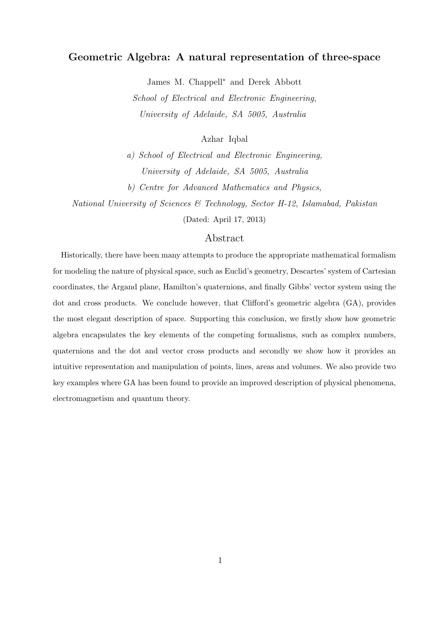# Geometric Algebra: A natural representation of three-space

James M. Chappell<sup>∗</sup> and Derek Abbott

School of Electrical and Electronic Engineering, University of Adelaide, SA 5005, Australia

Azhar Iqbal

a) School of Electrical and Electronic Engineering, University of Adelaide, SA 5005, Australia

b) Centre for Advanced Mathematics and Physics,

National University of Sciences & Technology, Sector H-12, Islamabad, Pakistan

(Dated: April 17, 2013)

# Abstract

Historically, there have been many attempts to produce the appropriate mathematical formalism for modeling the nature of physical space, such as Euclid's geometry, Descartes' system of Cartesian coordinates, the Argand plane, Hamilton's quaternions, and finally Gibbs' vector system using the dot and cross products. We conclude however, that Clifford's geometric algebra (GA), provides the most elegant description of space. Supporting this conclusion, we firstly show how geometric algebra encapsulates the key elements of the competing formalisms, such as complex numbers, quaternions and the dot and vector cross products and secondly we show how it provides an intuitive representation and manipulation of points, lines, areas and volumes. We also provide two key examples where GA has been found to provide an improved description of physical phenomena, electromagnetism and quantum theory.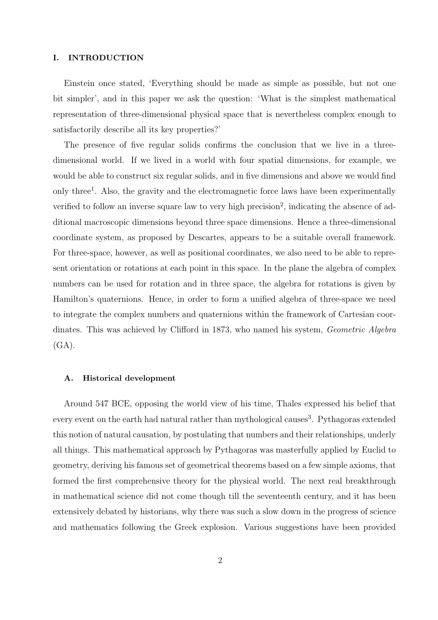### I. INTRODUCTION

Einstein once stated, 'Everything should be made as simple as possible, but not one bit simpler', and in this paper we ask the question: 'What is the simplest mathematical representation of three-dimensional physical space that is nevertheless complex enough to satisfactorily describe all its key properties?'

The presence of five regular solids confirms the conclusion that we live in a threedimensional world. If we lived in a world with four spatial dimensions, for example, we would be able to construct six regular solids, and in five dimensions and above we would find only three<sup>1</sup>. Also, the gravity and the electromagnetic force laws have been experimentally verified to follow an inverse square law to very high precision<sup>2</sup>, indicating the absence of additional macroscopic dimensions beyond three space dimensions. Hence a three-dimensional coordinate system, as proposed by Descartes, appears to be a suitable overall framework. For three-space, however, as well as positional coordinates, we also need to be able to represent orientation or rotations at each point in this space. In the plane the algebra of complex numbers can be used for rotation and in three space, the algebra for rotations is given by Hamilton's quaternions. Hence, in order to form a unified algebra of three-space we need to integrate the complex numbers and quaternions within the framework of Cartesian coordinates. This was achieved by Clifford in 1873, who named his system, Geometric Algebra  $(GA)$ .

# A. Historical development

Around 547 BCE, opposing the world view of his time, Thales expressed his belief that every event on the earth had natural rather than mythological causes<sup>3</sup>. Pythagoras extended this notion of natural causation, by postulating that numbers and their relationships, underly all things. This mathematical approach by Pythagoras was masterfully applied by Euclid to geometry, deriving his famous set of geometrical theorems based on a few simple axioms, that formed the first comprehensive theory for the physical world. The next real breakthrough in mathematical science did not come though till the seventeenth century, and it has been extensively debated by historians, why there was such a slow down in the progress of science and mathematics following the Greek explosion. Various suggestions have been provided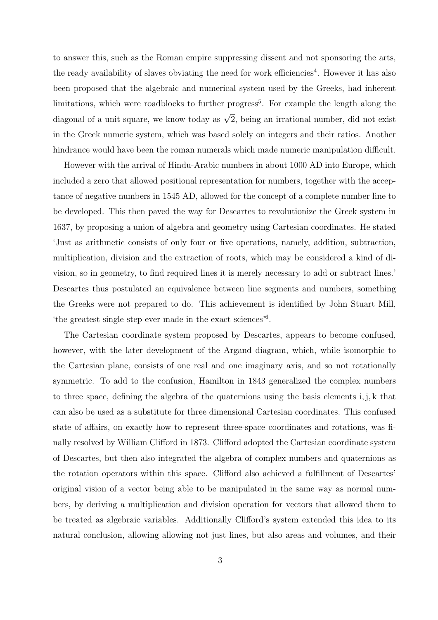to answer this, such as the Roman empire suppressing dissent and not sponsoring the arts, the ready availability of slaves obviating the need for work efficiencies<sup>4</sup>. However it has also been proposed that the algebraic and numerical system used by the Greeks, had inherent limitations, which were roadblocks to further progress<sup>5</sup>. For example the length along the diagonal of a unit square, we know today as  $\sqrt{2}$ , being an irrational number, did not exist in the Greek numeric system, which was based solely on integers and their ratios. Another hindrance would have been the roman numerals which made numeric manipulation difficult.

However with the arrival of Hindu-Arabic numbers in about 1000 AD into Europe, which included a zero that allowed positional representation for numbers, together with the acceptance of negative numbers in 1545 AD, allowed for the concept of a complete number line to be developed. This then paved the way for Descartes to revolutionize the Greek system in 1637, by proposing a union of algebra and geometry using Cartesian coordinates. He stated 'Just as arithmetic consists of only four or five operations, namely, addition, subtraction, multiplication, division and the extraction of roots, which may be considered a kind of division, so in geometry, to find required lines it is merely necessary to add or subtract lines.' Descartes thus postulated an equivalence between line segments and numbers, something the Greeks were not prepared to do. This achievement is identified by John Stuart Mill, 'the greatest single step ever made in the exact sciences'<sup>6</sup> .

The Cartesian coordinate system proposed by Descartes, appears to become confused, however, with the later development of the Argand diagram, which, while isomorphic to the Cartesian plane, consists of one real and one imaginary axis, and so not rotationally symmetric. To add to the confusion, Hamilton in 1843 generalized the complex numbers to three space, defining the algebra of the quaternions using the basis elements i, j, k that can also be used as a substitute for three dimensional Cartesian coordinates. This confused state of affairs, on exactly how to represent three-space coordinates and rotations, was finally resolved by William Clifford in 1873. Clifford adopted the Cartesian coordinate system of Descartes, but then also integrated the algebra of complex numbers and quaternions as the rotation operators within this space. Clifford also achieved a fulfillment of Descartes' original vision of a vector being able to be manipulated in the same way as normal numbers, by deriving a multiplication and division operation for vectors that allowed them to be treated as algebraic variables. Additionally Clifford's system extended this idea to its natural conclusion, allowing allowing not just lines, but also areas and volumes, and their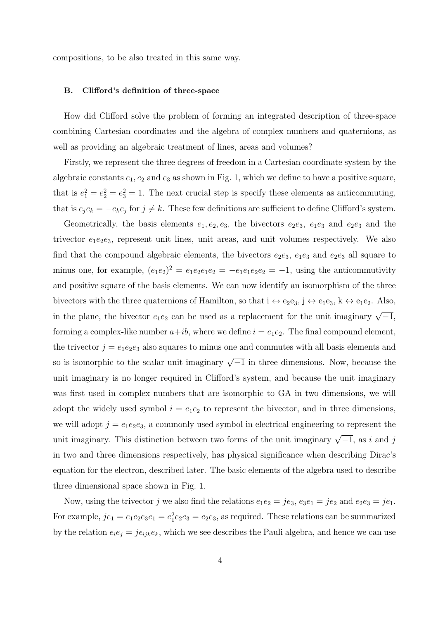compositions, to be also treated in this same way.

#### B. Clifford's definition of three-space

How did Clifford solve the problem of forming an integrated description of three-space combining Cartesian coordinates and the algebra of complex numbers and quaternions, as well as providing an algebraic treatment of lines, areas and volumes?

Firstly, we represent the three degrees of freedom in a Cartesian coordinate system by the algebraic constants  $e_1, e_2$  and  $e_3$  as shown in Fig. 1, which we define to have a positive square, that is  $e_1^2 = e_2^2 = e_3^2 = 1$ . The next crucial step is specify these elements as anticommuting, that is  $e_j e_k = -e_k e_j$  for  $j \neq k$ . These few definitions are sufficient to define Clifford's system.

Geometrically, the basis elements  $e_1, e_2, e_3$ , the bivectors  $e_2e_3, e_1e_3$  and  $e_2e_3$  and the trivector  $e_1e_2e_3$ , represent unit lines, unit areas, and unit volumes respectively. We also find that the compound algebraic elements, the bivectors  $e_2e_3$ ,  $e_1e_3$  and  $e_2e_3$  all square to minus one, for example,  $(e_1e_2)^2 = e_1e_2e_1e_2 = -e_1e_1e_2e_2 = -1$ , using the anticommutivity and positive square of the basis elements. We can now identify an isomorphism of the three bivectors with the three quaternions of Hamilton, so that  $i \leftrightarrow e_2e_3$ ,  $j \leftrightarrow e_1e_3$ ,  $k \leftrightarrow e_1e_2$ . Also, in the plane, the bivector  $e_1e_2$  can be used as a replacement for the unit imaginary  $\sqrt{-1}$ , forming a complex-like number  $a+ib$ , where we define  $i = e_1e_2$ . The final compound element, the trivector  $j = e_1e_2e_3$  also squares to minus one and commutes with all basis elements and so is isomorphic to the scalar unit imaginary  $\sqrt{-1}$  in three dimensions. Now, because the unit imaginary is no longer required in Clifford's system, and because the unit imaginary was first used in complex numbers that are isomorphic to GA in two dimensions, we will adopt the widely used symbol  $i = e_1e_2$  to represent the bivector, and in three dimensions, we will adopt  $j = e_1e_2e_3$ , a commonly used symbol in electrical engineering to represent the unit imaginary. This distinction between two forms of the unit imaginary  $\sqrt{-1}$ , as i and j in two and three dimensions respectively, has physical significance when describing Dirac's equation for the electron, described later. The basic elements of the algebra used to describe three dimensional space shown in Fig. 1.

Now, using the trivector j we also find the relations  $e_1e_2 = je_3$ ,  $e_3e_1 = je_2$  and  $e_2e_3 = je_1$ . For example,  $je_1 = e_1e_2e_3e_1 = e_1^2e_2e_3 = e_2e_3$ , as required. These relations can be summarized by the relation  $e_i e_j = j \epsilon_{ijk} e_k$ , which we see describes the Pauli algebra, and hence we can use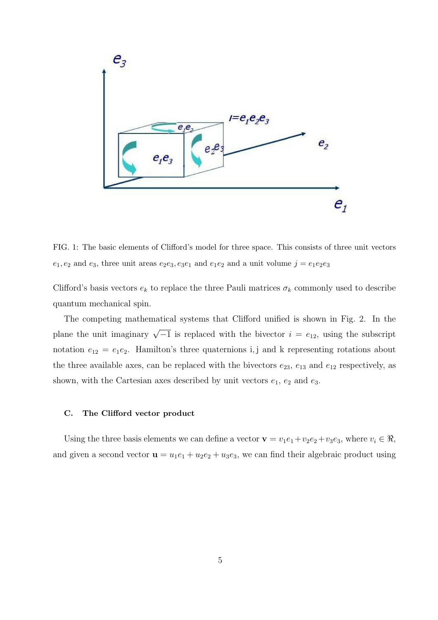

FIG. 1: The basic elements of Clifford's model for three space. This consists of three unit vectors  $e_1, e_2$  and  $e_3$ , three unit areas  $e_2e_3, e_3e_1$  and  $e_1e_2$  and a unit volume  $j = e_1e_2e_3$ 

Clifford's basis vectors  $e_k$  to replace the three Pauli matrices  $\sigma_k$  commonly used to describe quantum mechanical spin.

The competing mathematical systems that Clifford unified is shown in Fig. 2. In the plane the unit imaginary  $\sqrt{-1}$  is replaced with the bivector  $i = e_{12}$ , using the subscript notation  $e_{12} = e_1 e_2$ . Hamilton's three quaternions i, j and k representing rotations about the three available axes, can be replaced with the bivectors  $e_{23}$ ,  $e_{13}$  and  $e_{12}$  respectively, as shown, with the Cartesian axes described by unit vectors  $e_1$ ,  $e_2$  and  $e_3$ .

#### C. The Clifford vector product

Using the three basis elements we can define a vector  $\mathbf{v} = v_1e_1 + v_2e_2 + v_3e_3$ , where  $v_i \in \Re$ , and given a second vector  $\mathbf{u} = u_1 e_1 + u_2 e_2 + u_3 e_3$ , we can find their algebraic product using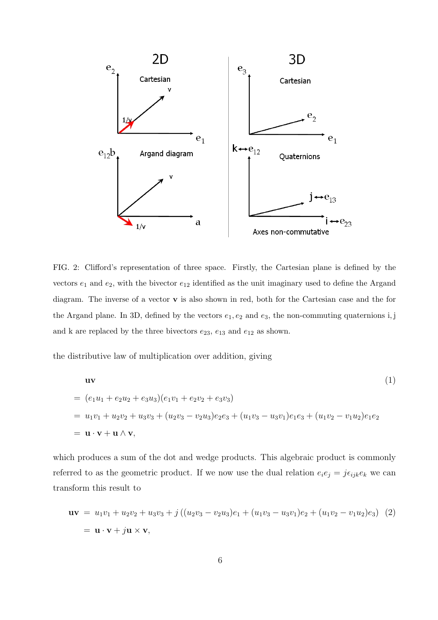

FIG. 2: Clifford's representation of three space. Firstly, the Cartesian plane is defined by the vectors  $e_1$  and  $e_2$ , with the bivector  $e_{12}$  identified as the unit imaginary used to define the Argand diagram. The inverse of a vector v is also shown in red, both for the Cartesian case and the for the Argand plane. In 3D, defined by the vectors  $e_1, e_2$  and  $e_3$ , the non-commuting quaternions i, j and k are replaced by the three bivectors  $e_{23}$ ,  $e_{13}$  and  $e_{12}$  as shown.

the distributive law of multiplication over addition, giving

$$
\mathbf{u}\mathbf{v}
$$
\n=  $(e_1u_1 + e_2u_2 + e_3u_3)(e_1v_1 + e_2v_2 + e_3v_3)$   
\n=  $u_1v_1 + u_2v_2 + u_3v_3 + (u_2v_3 - v_2u_3)e_2e_3 + (u_1v_3 - u_3v_1)e_1e_3 + (u_1v_2 - v_1u_2)e_1e_2$   
\n=  $\mathbf{u}\cdot\mathbf{v} + \mathbf{u}\wedge\mathbf{v}$ ,

which produces a sum of the dot and wedge products. This algebraic product is commonly referred to as the geometric product. If we now use the dual relation  $e_i e_j = j \epsilon_{ijk} e_k$  we can transform this result to

$$
\mathbf{u}\mathbf{v} = u_1v_1 + u_2v_2 + u_3v_3 + j((u_2v_3 - v_2u_3)e_1 + (u_1v_3 - u_3v_1)e_2 + (u_1v_2 - v_1u_2)e_3)
$$
 (2)  
=  $\mathbf{u} \cdot \mathbf{v} + j\mathbf{u} \times \mathbf{v}$ ,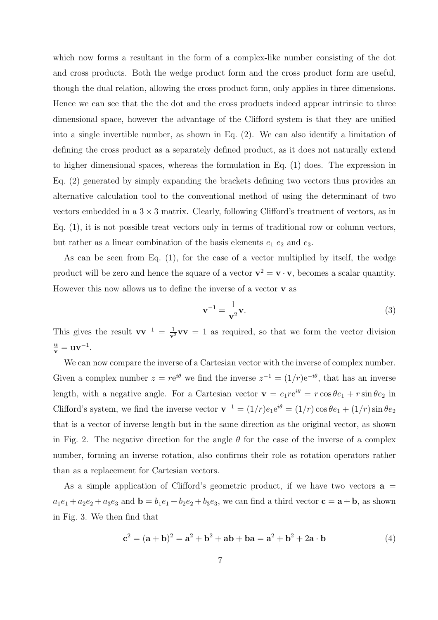which now forms a resultant in the form of a complex-like number consisting of the dot and cross products. Both the wedge product form and the cross product form are useful, though the dual relation, allowing the cross product form, only applies in three dimensions. Hence we can see that the the dot and the cross products indeed appear intrinsic to three dimensional space, however the advantage of the Clifford system is that they are unified into a single invertible number, as shown in Eq. (2). We can also identify a limitation of defining the cross product as a separately defined product, as it does not naturally extend to higher dimensional spaces, whereas the formulation in Eq. (1) does. The expression in Eq. (2) generated by simply expanding the brackets defining two vectors thus provides an alternative calculation tool to the conventional method of using the determinant of two vectors embedded in a  $3 \times 3$  matrix. Clearly, following Clifford's treatment of vectors, as in Eq. (1), it is not possible treat vectors only in terms of traditional row or column vectors, but rather as a linear combination of the basis elements  $e_1$   $e_2$  and  $e_3$ .

As can be seen from Eq. (1), for the case of a vector multiplied by itself, the wedge product will be zero and hence the square of a vector  $\mathbf{v}^2 = \mathbf{v} \cdot \mathbf{v}$ , becomes a scalar quantity. However this now allows us to define the inverse of a vector  $\bf{v}$  as

$$
\mathbf{v}^{-1} = \frac{1}{\mathbf{v}^2} \mathbf{v}.\tag{3}
$$

This gives the result  $vv^{-1} = \frac{1}{v^2}vv = 1$  as required, so that we form the vector division  $\frac{\mathbf{u}}{\mathbf{v}} = \mathbf{u}\mathbf{v}^{-1}.$ 

We can now compare the inverse of a Cartesian vector with the inverse of complex number. Given a complex number  $z = re^{i\theta}$  we find the inverse  $z^{-1} = (1/r)e^{-i\theta}$ , that has an inverse length, with a negative angle. For a Cartesian vector  $\mathbf{v} = e_1 r e^{i\theta} = r \cos \theta e_1 + r \sin \theta e_2$  in Clifford's system, we find the inverse vector  $\mathbf{v}^{-1} = (1/r)e_1e^{i\theta} = (1/r)\cos\theta e_1 + (1/r)\sin\theta e_2$ that is a vector of inverse length but in the same direction as the original vector, as shown in Fig. 2. The negative direction for the angle  $\theta$  for the case of the inverse of a complex number, forming an inverse rotation, also confirms their role as rotation operators rather than as a replacement for Cartesian vectors.

As a simple application of Clifford's geometric product, if we have two vectors  $\mathbf{a} =$  $a_1e_1 + a_2e_2 + a_3e_3$  and  $\mathbf{b} = b_1e_1 + b_2e_2 + b_3e_3$ , we can find a third vector  $\mathbf{c} = \mathbf{a} + \mathbf{b}$ , as shown in Fig. 3. We then find that

$$
c^{2} = (a + b)^{2} = a^{2} + b^{2} + ab + ba = a^{2} + b^{2} + 2a \cdot b
$$
 (4)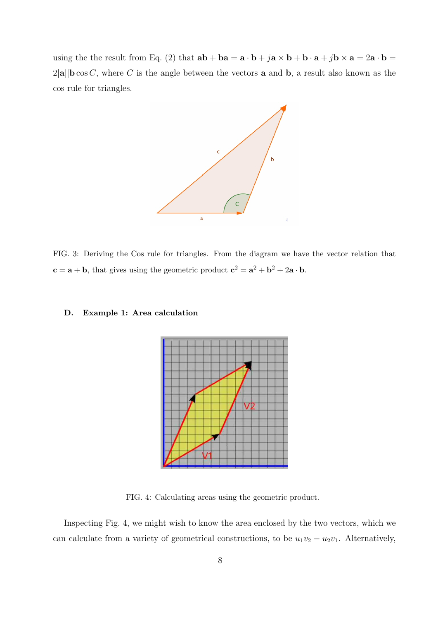using the the result from Eq. (2) that  $ab + ba = a \cdot b + ja \times b + b \cdot a + jb \times a = 2a \cdot b =$  $2|\mathbf{a}||\mathbf{b}\cos C$ , where C is the angle between the vectors **a** and **b**, a result also known as the cos rule for triangles.



FIG. 3: Deriving the Cos rule for triangles. From the diagram we have the vector relation that  $c = a + b$ , that gives using the geometric product  $c^2 = a^2 + b^2 + 2a \cdot b$ .

## D. Example 1: Area calculation



FIG. 4: Calculating areas using the geometric product.

Inspecting Fig. 4, we might wish to know the area enclosed by the two vectors, which we can calculate from a variety of geometrical constructions, to be  $u_1v_2 - u_2v_1$ . Alternatively,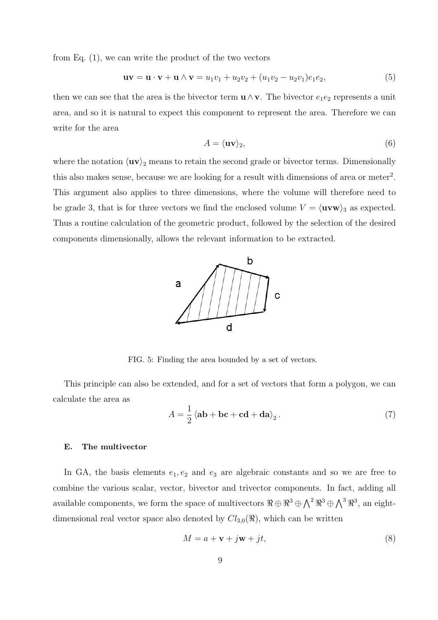from Eq. (1), we can write the product of the two vectors

$$
\mathbf{u}\mathbf{v} = \mathbf{u}\cdot\mathbf{v} + \mathbf{u}\wedge\mathbf{v} = u_1v_1 + u_2v_2 + (u_1v_2 - u_2v_1)e_1e_2,\tag{5}
$$

then we can see that the area is the bivector term  $\mathbf{u} \wedge \mathbf{v}$ . The bivector  $e_1e_2$  represents a unit area, and so it is natural to expect this component to represent the area. Therefore we can write for the area

$$
A = \langle \mathbf{uv} \rangle_2,\tag{6}
$$

where the notation  $\langle \mathbf{uv} \rangle_2$  means to retain the second grade or bivector terms. Dimensionally this also makes sense, because we are looking for a result with dimensions of area or meter<sup>2</sup>. This argument also applies to three dimensions, where the volume will therefore need to be grade 3, that is for three vectors we find the enclosed volume  $V = \langle uvw \rangle_3$  as expected. Thus a routine calculation of the geometric product, followed by the selection of the desired components dimensionally, allows the relevant information to be extracted.



FIG. 5: Finding the area bounded by a set of vectors.

This principle can also be extended, and for a set of vectors that form a polygon, we can calculate the area as

$$
A = \frac{1}{2} \left\langle \mathbf{ab} + \mathbf{bc} + \mathbf{cd} + \mathbf{da} \right\rangle_2.
$$
 (7)

# E. The multivector

In GA, the basis elements  $e_1, e_2$  and  $e_3$  are algebraic constants and so we are free to combine the various scalar, vector, bivector and trivector components. In fact, adding all available components, we form the space of multivectors  $\Re \oplus \Re^3 \oplus \bigwedge^2 \Re^3 \oplus \bigwedge^3 \Re^3$ , an eightdimensional real vector space also denoted by  $Cl_{3,0}(\mathcal{R})$ , which can be written

$$
M = a + \mathbf{v} + j\mathbf{w} + jt,\tag{8}
$$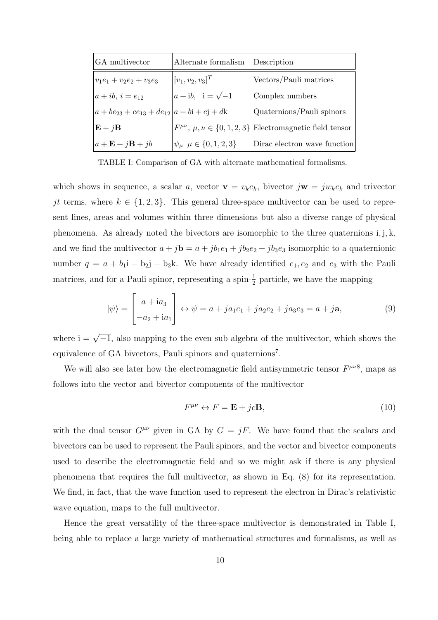| <b>GA</b> multivector                   | Alternate formalism                          | Description                                                            |
|-----------------------------------------|----------------------------------------------|------------------------------------------------------------------------|
| $ v_1e_1+v_2e_2+v_3e_3 $                | $[v_1, v_2, v_3]^T$                          | Vectors/Pauli matrices                                                 |
| $ a+ib, i=e_{12} $                      | $a + ib$ , $i = \sqrt{-1}$                   | Complex numbers                                                        |
| $ a+be_{23}+ce_{13}+de_{12} a+bi+cj+dk$ |                                              | Quaternions/Pauli spinors                                              |
| $\mathbf{E} + j\mathbf{B}$              |                                              | $F^{\mu\nu}, \mu, \nu \in \{0, 1, 2, 3\}$ Electromagnetic field tensor |
| $a + \mathbf{E} + j\mathbf{B} + jb$     | $ \psi_{\mu} \rangle \mu \in \{0, 1, 2, 3\}$ | Dirac electron wave function                                           |

TABLE I: Comparison of GA with alternate mathematical formalisms.

which shows in sequence, a scalar a, vector  $\mathbf{v} = v_k e_k$ , bivector  $j\mathbf{w} = jw_k e_k$  and trivector jt terms, where  $k \in \{1, 2, 3\}$ . This general three-space multivector can be used to represent lines, areas and volumes within three dimensions but also a diverse range of physical phenomena. As already noted the bivectors are isomorphic to the three quaternions i, j, k, and we find the multivector  $a + j\mathbf{b} = a + jb_1e_1 + jb_2e_2 + jb_3e_3$  isomorphic to a quaternionic number  $q = a + b_1 i - b_2 j + b_3 k$ . We have already identified  $e_1, e_2$  and  $e_3$  with the Pauli matrices, and for a Pauli spinor, representing a spin- $\frac{1}{2}$  particle, we have the mapping

$$
|\psi\rangle = \begin{bmatrix} a + ia_3 \\ -a_2 + ia_1 \end{bmatrix} \leftrightarrow \psi = a + ja_1e_1 + ja_2e_2 + ja_3e_3 = a + ja,
$$
 (9)

where  $i = \sqrt{-1}$ , also mapping to the even sub algebra of the multivector, which shows the equivalence of GA bivectors, Pauli spinors and quaternions<sup>7</sup>.

We will also see later how the electromagnetic field antisymmetric tensor  $F^{\mu\nu\delta}$ , maps as follows into the vector and bivector components of the multivector

$$
F^{\mu\nu} \leftrightarrow F = \mathbf{E} + jc\mathbf{B},\tag{10}
$$

with the dual tensor  $G^{\mu\nu}$  given in GA by  $G = jF$ . We have found that the scalars and bivectors can be used to represent the Pauli spinors, and the vector and bivector components used to describe the electromagnetic field and so we might ask if there is any physical phenomena that requires the full multivector, as shown in Eq. (8) for its representation. We find, in fact, that the wave function used to represent the electron in Dirac's relativistic wave equation, maps to the full multivector.

Hence the great versatility of the three-space multivector is demonstrated in Table I, being able to replace a large variety of mathematical structures and formalisms, as well as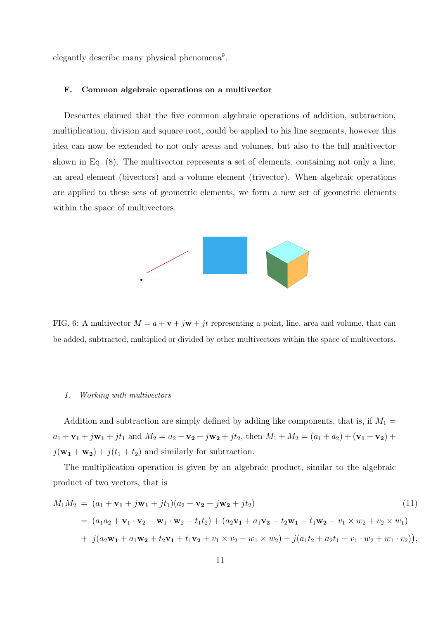elegantly describe many physical phenomena<sup>9</sup>.

#### F. Common algebraic operations on a multivector

Descartes claimed that the five common algebraic operations of addition, subtraction, multiplication, division and square root, could be applied to his line segments, however this idea can now be extended to not only areas and volumes, but also to the full multivector shown in Eq. (8). The multivector represents a set of elements, containing not only a line, an areal element (bivectors) and a volume element (trivector). When algebraic operations are applied to these sets of geometric elements, we form a new set of geometric elements within the space of multivectors.



FIG. 6: A multivector  $M = a + v + jw + jt$  representing a point, line, area and volume, that can be added, subtracted, multiplied or divided by other multivectors within the space of multivectors.

#### 1. Working with multivectors

Addition and subtraction are simply defined by adding like components, that is, if  $M_1$  =  $a_1 + \mathbf{v_1} + j\mathbf{w_1} + jt_1$  and  $M_2 = a_2 + \mathbf{v_2} + j\mathbf{w_2} + jt_2$ , then  $M_1 + M_2 = (a_1 + a_2) + (\mathbf{v_1} + \mathbf{v_2}) +$  $j(\mathbf{w_1} + \mathbf{w_2}) + j(t_1 + t_2)$  and similarly for subtraction.

The multiplication operation is given by an algebraic product, similar to the algebraic product of two vectors, that is

$$
M_1M_2 = (a_1 + \mathbf{v_1} + j\mathbf{w_1} + jt_1)(a_2 + \mathbf{v_2} + j\mathbf{w_2} + jt_2)
$$
\n
$$
= (a_1a_2 + \mathbf{v_1} \cdot \mathbf{v_2} - \mathbf{w_1} \cdot \mathbf{w_2} - t_1t_2) + (a_2\mathbf{v_1} + a_1\mathbf{v_2} - t_2\mathbf{w_1} - t_1\mathbf{w_2} - v_1 \times w_2 + v_2 \times w_1)
$$
\n
$$
+ j(a_2\mathbf{w_1} + a_1\mathbf{w_2} + t_2\mathbf{v_1} + t_1\mathbf{v_2} + v_1 \times v_2 - w_1 \times w_2) + j(a_1t_2 + a_2t_1 + v_1 \cdot w_2 + w_1 \cdot v_2)),
$$
\n(11)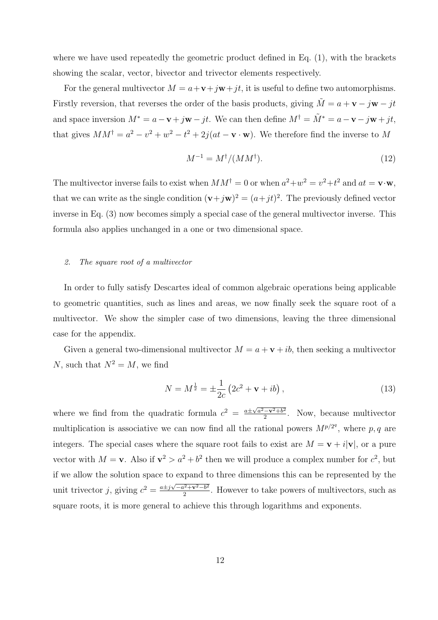where we have used repeatedly the geometric product defined in Eq. (1), with the brackets showing the scalar, vector, bivector and trivector elements respectively.

For the general multivector  $M = a + \mathbf{v} + j\mathbf{w} + jt$ , it is useful to define two automorphisms. Firstly reversion, that reverses the order of the basis products, giving  $\tilde{M} = a + \mathbf{v} - j\mathbf{w} - jt$ and space inversion  $M^* = a - \mathbf{v} + j\mathbf{w} - jt$ . We can then define  $M^{\dagger} = \tilde{M}^* = a - \mathbf{v} - j\mathbf{w} + jt$ , that gives  $MM^{\dagger} = a^2 - v^2 + w^2 - t^2 + 2j(at - \mathbf{v} \cdot \mathbf{w})$ . We therefore find the inverse to M

$$
M^{-1} = M^{\dagger} / (M M^{\dagger}).\tag{12}
$$

The multivector inverse fails to exist when  $MM^{\dagger} = 0$  or when  $a^2 + w^2 = v^2 + t^2$  and  $at = \mathbf{v} \cdot \mathbf{w}$ , that we can write as the single condition  $(v+jw)^2 = (a+jt)^2$ . The previously defined vector inverse in Eq. (3) now becomes simply a special case of the general multivector inverse. This formula also applies unchanged in a one or two dimensional space.

# 2. The square root of a multivector

In order to fully satisfy Descartes ideal of common algebraic operations being applicable to geometric quantities, such as lines and areas, we now finally seek the square root of a multivector. We show the simpler case of two dimensions, leaving the three dimensional case for the appendix.

Given a general two-dimensional multivector  $M = a + v + ib$ , then seeking a multivector N, such that  $N^2 = M$ , we find

$$
N = M^{\frac{1}{2}} = \pm \frac{1}{2c} \left( 2c^2 + \mathbf{v} + ib \right), \tag{13}
$$

where we find from the quadratic formula  $c^2 = \frac{a \pm \sqrt{a^2 - v^2 + b^2}}{2}$  $\frac{-\mathbf{v}^2 + b^2}{2}$ . Now, because multivector multiplication is associative we can now find all the rational powers  $M^{p/2^q}$ , where p, q are integers. The special cases where the square root fails to exist are  $M = v + i|v|$ , or a pure vector with  $M = v$ . Also if  $v^2 > a^2 + b^2$  then we will produce a complex number for  $c^2$ , but if we allow the solution space to expand to three dimensions this can be represented by the unit trivector j, giving  $c^2 = \frac{a \pm j\sqrt{-a^2 + \mathbf{v}^2 - b^2}}{2}$  $\frac{1}{2}e^{i^2 + \mathbf{v}^2 - b^2}$ . However to take powers of multivectors, such as square roots, it is more general to achieve this through logarithms and exponents.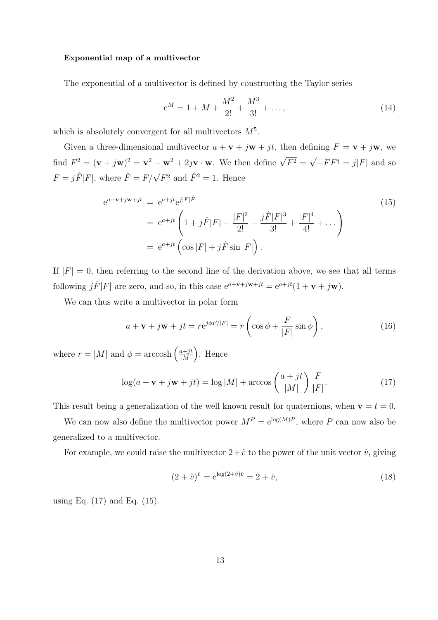#### Exponential map of a multivector

The exponential of a multivector is defined by constructing the Taylor series

$$
e^M = 1 + M + \frac{M^2}{2!} + \frac{M^3}{3!} + \dots,
$$
\n(14)

which is absolutely convergent for all multivectors  $M^5$ .

Given a three-dimensional multivector  $a + v + jw + jt$ , then defining  $F = v + jw$ , we find  $F^2 = (\mathbf{v} + j\mathbf{w})^2 = \mathbf{v}^2 - \mathbf{w}^2 + 2j\mathbf{v} \cdot \mathbf{w}$ . We then define  $\sqrt{F^2} =$ √  $-F F^{\dagger} = j|F|$  and so  $F = j\hat{F}|F|$ , where  $\hat{F} = F/\sqrt{F^2}$  and  $\hat{F}^2 = 1$ . Hence

$$
e^{a+v+jw+jt} = e^{a+jt}e^{j|F|\hat{F}}
$$
  
=  $e^{a+jt} \left(1+j\hat{F}|F| - \frac{|F|^2}{2!} - \frac{j\hat{F}|F|^3}{3!} + \frac{|F|^4}{4!} + \dots \right)$   
=  $e^{a+jt} \left(\cos|F| + j\hat{F}\sin|F|\right).$  (15)

If  $|F| = 0$ , then referring to the second line of the derivation above, we see that all terms following  $j\hat{F}|F|$  are zero, and so, in this case  $e^{a+\mathbf{v}+j\mathbf{w}+jt} = e^{a+jt}(1+\mathbf{v}+j\mathbf{w})$ .

We can thus write a multivector in polar form

$$
a + \mathbf{v} + j\mathbf{w} + jt = re^{j\phi F/|F|} = r\left(\cos\phi + \frac{F}{|F|}\sin\phi\right),\tag{16}
$$

where  $r = |M|$  and  $\phi = \arccosh\left(\frac{a+jt}{|M|}\right)$  $\frac{a+jt}{|M|}$ . Hence

$$
\log(a + \mathbf{v} + j\mathbf{w} + jt) = \log|M| + \arccos\left(\frac{a + jt}{|M|}\right)\frac{F}{|F|}.
$$
 (17)

This result being a generalization of the well known result for quaternions, when  $\mathbf{v} = t = 0$ .

We can now also define the multivector power  $M^P = e^{\log(M)P}$ , where P can now also be generalized to a multivector.

For example, we could raise the multivector  $2+\hat{v}$  to the power of the unit vector  $\hat{v}$ , giving

$$
(2+\hat{v})^{\hat{v}} = e^{\log(2+\hat{v})\hat{v}} = 2+\hat{v},\tag{18}
$$

using Eq. (17) and Eq. (15).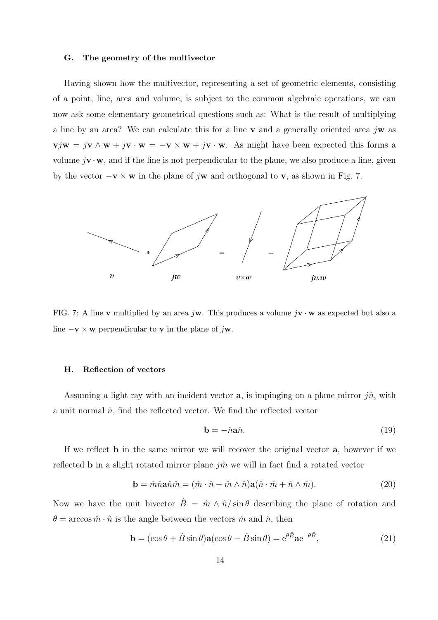#### G. The geometry of the multivector

Having shown how the multivector, representing a set of geometric elements, consisting of a point, line, area and volume, is subject to the common algebraic operations, we can now ask some elementary geometrical questions such as: What is the result of multiplying a line by an area? We can calculate this for a line v and a generally oriented area  $j\mathbf{w}$  as  $\mathbf{v}j\mathbf{w} = j\mathbf{v} \wedge \mathbf{w} + j\mathbf{v} \cdot \mathbf{w} = -\mathbf{v} \times \mathbf{w} + j\mathbf{v} \cdot \mathbf{w}$ . As might have been expected this forms a volume  $j\mathbf{v}\cdot\mathbf{w}$ , and if the line is not perpendicular to the plane, we also produce a line, given by the vector  $-\mathbf{v} \times \mathbf{w}$  in the plane of jw and orthogonal to v, as shown in Fig. 7.



FIG. 7: A line v multiplied by an area jw. This produces a volume  $j\mathbf{v} \cdot \mathbf{w}$  as expected but also a line  $-\mathbf{v} \times \mathbf{w}$  perpendicular to **v** in the plane of j $\mathbf{w}$ .

## H. Reflection of vectors

Assuming a light ray with an incident vector **a**, is impinging on a plane mirror  $j\hat{n}$ , with a unit normal  $\hat{n}$ , find the reflected vector. We find the reflected vector

$$
\mathbf{b} = -\hat{n}\mathbf{a}\hat{n}.\tag{19}
$$

If we reflect b in the same mirror we will recover the original vector a, however if we reflected **b** in a slight rotated mirror plane  $j\hat{m}$  we will in fact find a rotated vector

$$
\mathbf{b} = \hat{m}\hat{n}\mathbf{a}\hat{n}\hat{m} = (\hat{m}\cdot\hat{n} + \hat{m}\wedge\hat{n})\mathbf{a}(\hat{n}\cdot\hat{m} + \hat{n}\wedge\hat{m}).\tag{20}
$$

Now we have the unit bivector  $\hat{B} = \hat{m} \wedge \hat{n}/\sin\theta$  describing the plane of rotation and  $\theta = \arccos \hat{m} \cdot \hat{n}$  is the angle between the vectors  $\hat{m}$  and  $\hat{n}$ , then

$$
\mathbf{b} = (\cos \theta + \hat{B} \sin \theta) \mathbf{a} (\cos \theta - \hat{B} \sin \theta) = e^{\theta \hat{B}} \mathbf{a} e^{-\theta \hat{B}}, \tag{21}
$$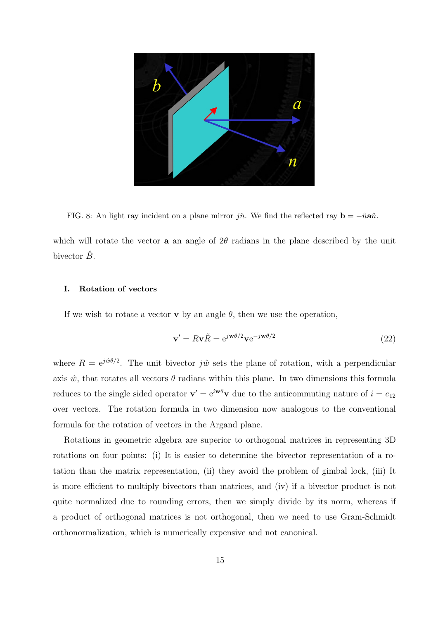

FIG. 8: An light ray incident on a plane mirror jn̂. We find the reflected ray  $\mathbf{b} = -\hat{n}\mathbf{a}\hat{n}$ .

which will rotate the vector **a** an angle of  $2\theta$  radians in the plane described by the unit bivector  $\hat{B}$ .

## I. Rotation of vectors

If we wish to rotate a vector **v** by an angle  $\theta$ , then we use the operation,

$$
\mathbf{v}' = R\mathbf{v}\tilde{R} = e^{j\mathbf{w}\theta/2}\mathbf{v}e^{-j\mathbf{w}\theta/2}
$$
\n(22)

where  $R = e^{j\hat{w}\theta/2}$ . The unit bivector  $j\hat{w}$  sets the plane of rotation, with a perpendicular axis  $\hat{w}$ , that rotates all vectors  $\theta$  radians within this plane. In two dimensions this formula reduces to the single sided operator  $\mathbf{v}' = e^{i \mathbf{w} \theta} \mathbf{v}$  due to the anticommuting nature of  $i = e_{12}$ over vectors. The rotation formula in two dimension now analogous to the conventional formula for the rotation of vectors in the Argand plane.

Rotations in geometric algebra are superior to orthogonal matrices in representing 3D rotations on four points: (i) It is easier to determine the bivector representation of a rotation than the matrix representation, (ii) they avoid the problem of gimbal lock, (iii) It is more efficient to multiply bivectors than matrices, and (iv) if a bivector product is not quite normalized due to rounding errors, then we simply divide by its norm, whereas if a product of orthogonal matrices is not orthogonal, then we need to use Gram-Schmidt orthonormalization, which is numerically expensive and not canonical.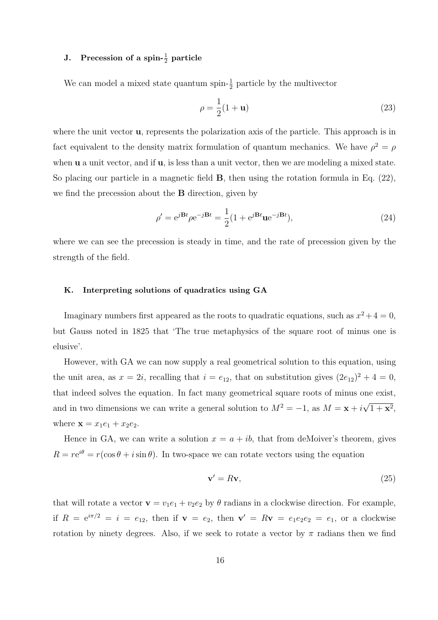# J. Precession of a spin- $\frac{1}{2}$  particle

We can model a mixed state quantum spin- $\frac{1}{2}$  particle by the multivector

$$
\rho = \frac{1}{2}(1 + \mathbf{u})\tag{23}
$$

where the unit vector **u**, represents the polarization axis of the particle. This approach is in fact equivalent to the density matrix formulation of quantum mechanics. We have  $\rho^2 = \rho^2$ when  $\bf{u}$  a unit vector, and if  $\bf{u}$ , is less than a unit vector, then we are modeling a mixed state. So placing our particle in a magnetic field B, then using the rotation formula in Eq. (22), we find the precession about the B direction, given by

$$
\rho' = e^{j\mathbf{B}t} \rho e^{-j\mathbf{B}t} = \frac{1}{2} (1 + e^{j\mathbf{B}t} \mathbf{u} e^{-j\mathbf{B}t}),\tag{24}
$$

where we can see the precession is steady in time, and the rate of precession given by the strength of the field.

# K. Interpreting solutions of quadratics using GA

Imaginary numbers first appeared as the roots to quadratic equations, such as  $x^2 + 4 = 0$ , but Gauss noted in 1825 that 'The true metaphysics of the square root of minus one is elusive'.

However, with GA we can now supply a real geometrical solution to this equation, using the unit area, as  $x = 2i$ , recalling that  $i = e_{12}$ , that on substitution gives  $(2e_{12})^2 + 4 = 0$ , that indeed solves the equation. In fact many geometrical square roots of minus one exist, and in two dimensions we can write a general solution to  $M^2 = -1$ , as  $M = \mathbf{x} + i$ √  $(1 + x^2,$ where  $\mathbf{x} = x_1e_1 + x_2e_2$ .

Hence in GA, we can write a solution  $x = a + ib$ , that from deMoiver's theorem, gives  $R = re^{i\theta} = r(\cos\theta + i\sin\theta)$ . In two-space we can rotate vectors using the equation

$$
\mathbf{v}' = R\mathbf{v},\tag{25}
$$

that will rotate a vector  $\mathbf{v} = v_1 e_1 + v_2 e_2$  by  $\theta$  radians in a clockwise direction. For example, if  $R = e^{i\pi/2} = i = e_{12}$ , then if  $\mathbf{v} = e_2$ , then  $\mathbf{v}' = R\mathbf{v} = e_1e_2e_2 = e_1$ , or a clockwise rotation by ninety degrees. Also, if we seek to rotate a vector by  $\pi$  radians then we find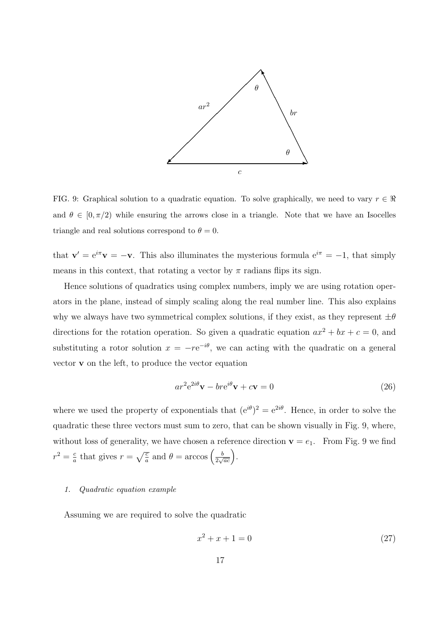

FIG. 9: Graphical solution to a quadratic equation. To solve graphically, we need to vary  $r \in \Re$ and  $\theta \in [0, \pi/2)$  while ensuring the arrows close in a triangle. Note that we have an Isocelles triangle and real solutions correspond to  $\theta = 0$ .

that  $\mathbf{v}' = e^{i\pi} \mathbf{v} = -\mathbf{v}$ . This also illuminates the mysterious formula  $e^{i\pi} = -1$ , that simply means in this context, that rotating a vector by  $\pi$  radians flips its sign.

Hence solutions of quadratics using complex numbers, imply we are using rotation operators in the plane, instead of simply scaling along the real number line. This also explains why we always have two symmetrical complex solutions, if they exist, as they represent  $\pm\theta$ directions for the rotation operation. So given a quadratic equation  $ax^2 + bx + c = 0$ , and substituting a rotor solution  $x = -re^{-i\theta}$ , we can acting with the quadratic on a general vector v on the left, to produce the vector equation

$$
ar^{2}e^{2i\theta}\mathbf{v} - br e^{i\theta}\mathbf{v} + c\mathbf{v} = 0
$$
\n(26)

where we used the property of exponentials that  $(e^{i\theta})^2 = e^{2i\theta}$ . Hence, in order to solve the quadratic these three vectors must sum to zero, that can be shown visually in Fig. 9, where, without loss of generality, we have chosen a reference direction  $\mathbf{v} = e_1$ . From Fig. 9 we find  $r^2 = \frac{c}{a}$  $\frac{c}{a}$  that gives  $r = \sqrt{\frac{c}{a}}$  and  $\theta = \arccos\left(\frac{b}{2\sqrt{\frac{c}{c}}} \right)$  $\frac{b}{2\sqrt{ac}}\bigg).$ 

# 1. Quadratic equation example

Assuming we are required to solve the quadratic

$$
x^2 + x + 1 = 0 \tag{27}
$$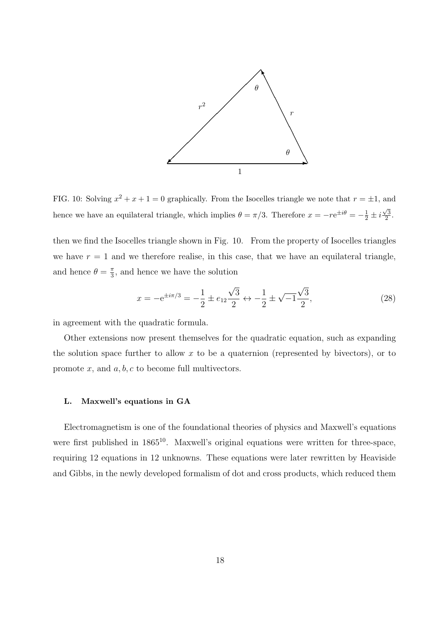

FIG. 10: Solving  $x^2 + x + 1 = 0$  graphically. From the Isocelles triangle we note that  $r = \pm 1$ , and hence we have an equilateral triangle, which implies  $\theta = \pi/3$ . Therefore  $x = -re^{\pm i\theta} = -\frac{1}{2} \pm i$  $\sqrt{3}$  $\frac{\sqrt{3}}{2}$ .

then we find the Isocelles triangle shown in Fig. 10. From the property of Isocelles triangles we have  $r = 1$  and we therefore realise, in this case, that we have an equilateral triangle, and hence  $\theta = \frac{\pi}{3}$  $\frac{\pi}{3}$ , and hence we have the solution

$$
x = -e^{\pm i\pi/3} = -\frac{1}{2} \pm e_{12} \frac{\sqrt{3}}{2} \leftrightarrow -\frac{1}{2} \pm \sqrt{-1} \frac{\sqrt{3}}{2},\tag{28}
$$

in agreement with the quadratic formula.

Other extensions now present themselves for the quadratic equation, such as expanding the solution space further to allow  $x$  to be a quaternion (represented by bivectors), or to promote  $x$ , and  $a, b, c$  to become full multivectors.

# L. Maxwell's equations in GA

Electromagnetism is one of the foundational theories of physics and Maxwell's equations were first published in  $1865^{10}$ . Maxwell's original equations were written for three-space, requiring 12 equations in 12 unknowns. These equations were later rewritten by Heaviside and Gibbs, in the newly developed formalism of dot and cross products, which reduced them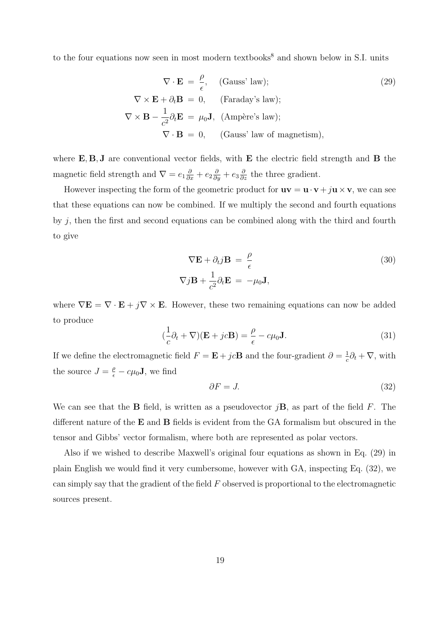to the four equations now seen in most modern textbooks<sup>8</sup> and shown below in S.I. units

$$
\nabla \cdot \mathbf{E} = \frac{\rho}{\epsilon}, \quad \text{(Gauss' law)}; \n\nabla \times \mathbf{E} + \partial_t \mathbf{B} = 0, \quad \text{(Faraday's law)}; \n\nabla \times \mathbf{B} - \frac{1}{c^2} \partial_t \mathbf{E} = \mu_0 \mathbf{J}, \text{ (Ampère's law)}; \n\nabla \cdot \mathbf{B} = 0, \quad \text{(Gauss' law of magnetism)},
$$
\n(29)

where  $\mathbf{E}, \mathbf{B}, \mathbf{J}$  are conventional vector fields, with  $\mathbf{E}$  the electric field strength and  $\mathbf{B}$  the magnetic field strength and  $\nabla = e_1 \frac{\partial}{\partial x} + e_2 \frac{\partial}{\partial y} + e_3 \frac{\partial}{\partial z}$  the three gradient.

However inspecting the form of the geometric product for  $uv = u \cdot v + ju \times v$ , we can see that these equations can now be combined. If we multiply the second and fourth equations by  $j$ , then the first and second equations can be combined along with the third and fourth to give

$$
\nabla \mathbf{E} + \partial_t j \mathbf{B} = \frac{\rho}{\epsilon}
$$
\n
$$
\nabla j \mathbf{B} + \frac{1}{c^2} \partial_t \mathbf{E} = -\mu_0 \mathbf{J},
$$
\n(30)

where  $\nabla \mathbf{E} = \nabla \cdot \mathbf{E} + j \nabla \times \mathbf{E}$ . However, these two remaining equations can now be added to produce

$$
(\frac{1}{c}\partial_t + \nabla)(\mathbf{E} + jc\mathbf{B}) = \frac{\rho}{\epsilon} - c\mu_0 \mathbf{J}.
$$
 (31)

If we define the electromagnetic field  $F = \mathbf{E} + jc\mathbf{B}$  and the four-gradient  $\partial = \frac{1}{c}$  $\frac{1}{c}\partial_t + \nabla$ , with the source  $J = \frac{\rho}{\epsilon} - c\mu_0 \mathbf{J}$ , we find

$$
\partial F = J. \tag{32}
$$

We can see that the **B** field, is written as a pseudovector  $i\mathbf{B}$ , as part of the field F. The different nature of the E and B fields is evident from the GA formalism but obscured in the tensor and Gibbs' vector formalism, where both are represented as polar vectors.

Also if we wished to describe Maxwell's original four equations as shown in Eq. (29) in plain English we would find it very cumbersome, however with GA, inspecting Eq. (32), we can simply say that the gradient of the field  $F$  observed is proportional to the electromagnetic sources present.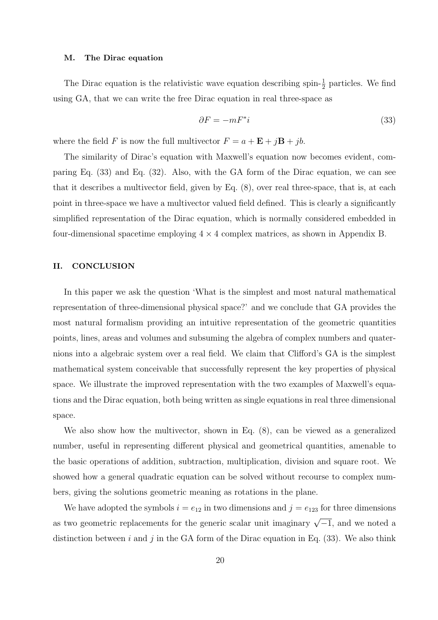#### M. The Dirac equation

The Dirac equation is the relativistic wave equation describing spin- $\frac{1}{2}$  particles. We find using GA, that we can write the free Dirac equation in real three-space as

$$
\partial F = -mF^*i\tag{33}
$$

where the field F is now the full multivector  $F = a + \mathbf{E} + j\mathbf{B} + jb$ .

The similarity of Dirac's equation with Maxwell's equation now becomes evident, comparing Eq. (33) and Eq. (32). Also, with the GA form of the Dirac equation, we can see that it describes a multivector field, given by Eq. (8), over real three-space, that is, at each point in three-space we have a multivector valued field defined. This is clearly a significantly simplified representation of the Dirac equation, which is normally considered embedded in four-dimensional spacetime employing  $4 \times 4$  complex matrices, as shown in Appendix B.

## II. CONCLUSION

In this paper we ask the question 'What is the simplest and most natural mathematical representation of three-dimensional physical space?' and we conclude that GA provides the most natural formalism providing an intuitive representation of the geometric quantities points, lines, areas and volumes and subsuming the algebra of complex numbers and quaternions into a algebraic system over a real field. We claim that Clifford's GA is the simplest mathematical system conceivable that successfully represent the key properties of physical space. We illustrate the improved representation with the two examples of Maxwell's equations and the Dirac equation, both being written as single equations in real three dimensional space.

We also show how the multivector, shown in Eq. (8), can be viewed as a generalized number, useful in representing different physical and geometrical quantities, amenable to the basic operations of addition, subtraction, multiplication, division and square root. We showed how a general quadratic equation can be solved without recourse to complex numbers, giving the solutions geometric meaning as rotations in the plane.

We have adopted the symbols  $i = e_{12}$  in two dimensions and  $j = e_{123}$  for three dimensions as two geometric replacements for the generic scalar unit imaginary  $\sqrt{-1}$ , and we noted a distinction between i and j in the GA form of the Dirac equation in Eq.  $(33)$ . We also think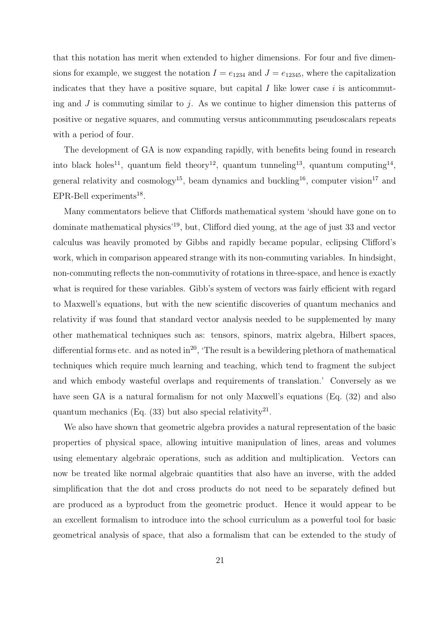that this notation has merit when extended to higher dimensions. For four and five dimensions for example, we suggest the notation  $I = e_{1234}$  and  $J = e_{12345}$ , where the capitalization indicates that they have a positive square, but capital  $I$  like lower case  $i$  is anticommuting and  $J$  is commuting similar to  $j$ . As we continue to higher dimension this patterns of positive or negative squares, and commuting versus anticommmuting pseudoscalars repeats with a period of four.

The development of GA is now expanding rapidly, with benefits being found in research into black holes<sup>11</sup>, quantum field theory<sup>12</sup>, quantum tunneling<sup>13</sup>, quantum computing<sup>14</sup>, general relativity and cosmology<sup>15</sup>, beam dynamics and buckling<sup>16</sup>, computer vision<sup>17</sup> and EPR-Bell experiments<sup>18</sup>.

Many commentators believe that Cliffords mathematical system 'should have gone on to dominate mathematical physics'<sup>19</sup>, but, Clifford died young, at the age of just 33 and vector calculus was heavily promoted by Gibbs and rapidly became popular, eclipsing Clifford's work, which in comparison appeared strange with its non-commuting variables. In hindsight, non-commuting reflects the non-commutivity of rotations in three-space, and hence is exactly what is required for these variables. Gibb's system of vectors was fairly efficient with regard to Maxwell's equations, but with the new scientific discoveries of quantum mechanics and relativity if was found that standard vector analysis needed to be supplemented by many other mathematical techniques such as: tensors, spinors, matrix algebra, Hilbert spaces, differential forms etc. and as noted in<sup>20</sup>, 'The result is a bewildering plethora of mathematical techniques which require much learning and teaching, which tend to fragment the subject and which embody wasteful overlaps and requirements of translation.' Conversely as we have seen GA is a natural formalism for not only Maxwell's equations (Eq. (32) and also quantum mechanics (Eq.  $(33)$  but also special relativity<sup>21</sup>.

We also have shown that geometric algebra provides a natural representation of the basic properties of physical space, allowing intuitive manipulation of lines, areas and volumes using elementary algebraic operations, such as addition and multiplication. Vectors can now be treated like normal algebraic quantities that also have an inverse, with the added simplification that the dot and cross products do not need to be separately defined but are produced as a byproduct from the geometric product. Hence it would appear to be an excellent formalism to introduce into the school curriculum as a powerful tool for basic geometrical analysis of space, that also a formalism that can be extended to the study of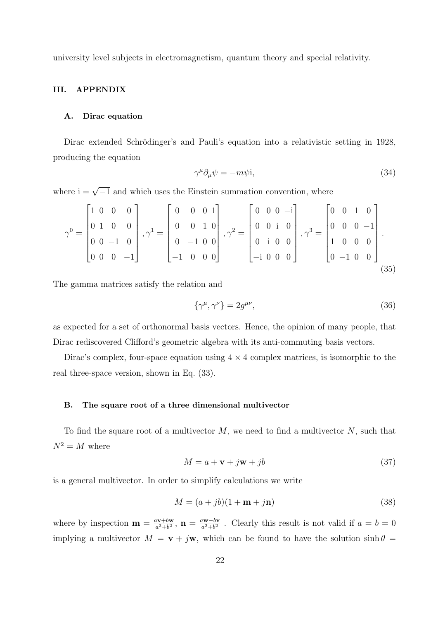university level subjects in electromagnetism, quantum theory and special relativity.

# III. APPENDIX

# A. Dirac equation

Dirac extended Schrödinger's and Pauli's equation into a relativistic setting in 1928, producing the equation

$$
\gamma^{\mu}\partial_{\mu}\psi = -m\psi i,\tag{34}
$$

where  $i = \sqrt{-1}$  and which uses the Einstein summation convention, where

$$
\gamma^{0} = \begin{bmatrix} 1 & 0 & 0 & 0 \\ 0 & 1 & 0 & 0 \\ 0 & 0 & -1 & 0 \\ 0 & 0 & 0 & -1 \end{bmatrix}, \gamma^{1} = \begin{bmatrix} 0 & 0 & 0 & 1 \\ 0 & 0 & 1 & 0 \\ 0 & -1 & 0 & 0 \\ -1 & 0 & 0 & 0 \end{bmatrix}, \gamma^{2} = \begin{bmatrix} 0 & 0 & 0 & -i \\ 0 & 0 & i & 0 \\ 0 & i & 0 & 0 \\ -i & 0 & 0 & 0 \end{bmatrix}, \gamma^{3} = \begin{bmatrix} 0 & 0 & 1 & 0 \\ 0 & 0 & 0 & -1 \\ 1 & 0 & 0 & 0 \\ 0 & -1 & 0 & 0 \end{bmatrix}.
$$
\n(35)

The gamma matrices satisfy the relation and

$$
\{\gamma^{\mu}, \gamma^{\nu}\} = 2g^{\mu\nu},\tag{36}
$$

as expected for a set of orthonormal basis vectors. Hence, the opinion of many people, that Dirac rediscovered Clifford's geometric algebra with its anti-commuting basis vectors.

Dirac's complex, four-space equation using  $4 \times 4$  complex matrices, is isomorphic to the real three-space version, shown in Eq. (33).

#### B. The square root of a three dimensional multivector

To find the square root of a multivector  $M$ , we need to find a multivector  $N$ , such that  $N^2 = M$  where

$$
M = a + \mathbf{v} + j\mathbf{w} + jb \tag{37}
$$

is a general multivector. In order to simplify calculations we write

$$
M = (a + jb)(1 + \mathbf{m} + j\mathbf{n})\tag{38}
$$

where by inspection  $\mathbf{m} = \frac{a\mathbf{v}+b\mathbf{w}}{a^2+b^2}$  $\frac{a\textbf{v}+b\textbf{w}}{a^2+b^2}, \ \textbf{n}=\frac{a\textbf{w}-b\textbf{v}}{a^2+b^2}$  $\frac{2W-by}{a^2+b^2}$ . Clearly this result is not valid if  $a=b=0$ implying a multivector  $M = \mathbf{v} + j\mathbf{w}$ , which can be found to have the solution  $\sinh \theta =$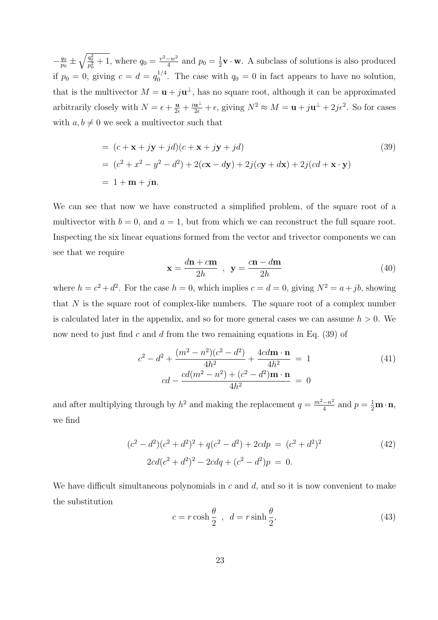$-\frac{q_0}{q_0}$  $\frac{q_0}{p_0} \pm \sqrt{\frac{q_0^2}{p_0^2} + 1}$ , where  $q_0 = \frac{v^2 - w^2}{4}$  $\frac{-w^2}{4}$  and  $p_0 = \frac{1}{2}$  $\frac{1}{2}\mathbf{v} \cdot \mathbf{w}$ . A subclass of solutions is also produced if  $p_0 = 0$ , giving  $c = d = q_0^{1/4}$  $q_0^{1/4}$ . The case with  $q_0 = 0$  in fact appears to have no solution, that is the multivector  $M = \mathbf{u} + j\mathbf{u}^{\perp}$ , has no square root, although it can be approximated arbitrarily closely with  $N = \epsilon + \frac{\mathbf{u}}{2\epsilon} + \frac{i\mathbf{u}^{\perp}}{2\epsilon} + \epsilon$ , giving  $N^2 \approx M = \mathbf{u} + j\mathbf{u}^{\perp} + 2j\epsilon^2$ . So for cases with  $a, b \neq 0$  we seek a multivector such that

$$
= (c + \mathbf{x} + j\mathbf{y} + jd)(c + \mathbf{x} + j\mathbf{y} + jd)
$$
\n
$$
= (c2 + x2 - y2 - d2) + 2(c\mathbf{x} - d\mathbf{y}) + 2j(c\mathbf{y} + d\mathbf{x}) + 2j(cd + \mathbf{x} \cdot \mathbf{y})
$$
\n
$$
= 1 + \mathbf{m} + j\mathbf{n}.
$$
\n(39)

We can see that now we have constructed a simplified problem, of the square root of a multivector with  $b = 0$ , and  $a = 1$ , but from which we can reconstruct the full square root. Inspecting the six linear equations formed from the vector and trivector components we can see that we require

$$
\mathbf{x} = \frac{d\mathbf{n} + c\mathbf{m}}{2h} , \quad \mathbf{y} = \frac{c\mathbf{n} - d\mathbf{m}}{2h}
$$
 (40)

where  $h = c^2 + d^2$ . For the case  $h = 0$ , which implies  $c = d = 0$ , giving  $N^2 = a + jb$ , showing that  $N$  is the square root of complex-like numbers. The square root of a complex number is calculated later in the appendix, and so for more general cases we can assume  $h > 0$ . We now need to just find c and d from the two remaining equations in Eq.  $(39)$  of

$$
c^{2} - d^{2} + \frac{(m^{2} - n^{2})(c^{2} - d^{2})}{4h^{2}} + \frac{4cd\mathbf{m} \cdot \mathbf{n}}{4h^{2}} = 1
$$
\n
$$
cd - \frac{cd(m^{2} - n^{2}) + (c^{2} - d^{2})\mathbf{m} \cdot \mathbf{n}}{4h^{2}} = 0
$$
\n(41)

and after multiplying through by  $h^2$  and making the replacement  $q = \frac{m^2 - n^2}{4}$  $\frac{-n^2}{4}$  and  $p = \frac{1}{2} \mathbf{m} \cdot \mathbf{n}$ , we find

$$
(c2 - d2)(c2 + d2)2 + q(c2 - d2) + 2cdp = (c2 + d2)2
$$
  
2cd(c<sup>2</sup> + d<sup>2</sup>)<sup>2</sup> - 2cdq + (c<sup>2</sup> - d<sup>2</sup>)p = 0. (42)

We have difficult simultaneous polynomials in  $c$  and  $d$ , and so it is now convenient to make the substitution

$$
c = r \cosh \frac{\theta}{2} , d = r \sinh \frac{\theta}{2}, \qquad (43)
$$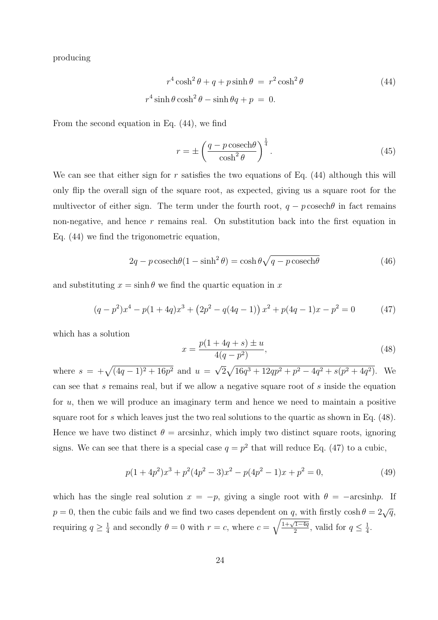producing

$$
r^{4}\cosh^{2}\theta + q + p\sinh\theta = r^{2}\cosh^{2}\theta
$$
\n
$$
r^{4}\sinh\theta\cosh^{2}\theta - \sinh\theta q + p = 0.
$$
\n(44)

From the second equation in Eq. (44), we find

$$
r = \pm \left(\frac{q - p \csch\theta}{\cosh^2 \theta}\right)^{\frac{1}{4}}.
$$
\n(45)

We can see that either sign for r satisfies the two equations of Eq.  $(44)$  although this will only flip the overall sign of the square root, as expected, giving us a square root for the multivector of either sign. The term under the fourth root,  $q - p$  cosech $\theta$  in fact remains non-negative, and hence  $r$  remains real. On substitution back into the first equation in Eq. (44) we find the trigonometric equation,

$$
2q - p \cosech\theta (1 - \sinh^2 \theta) = \cosh \theta \sqrt{q - p \cosech\theta}
$$
 (46)

and substituting  $x = \sinh \theta$  we find the quartic equation in x

$$
(q-p^2)x^4 - p(1+4q)x^3 + (2p^2 - q(4q-1))x^2 + p(4q-1)x - p^2 = 0
$$
 (47)

which has a solution

$$
x = \frac{p(1+4q+s) \pm u}{4(q-p^2)},
$$
\n(48)

where  $s = +\sqrt{(4q-1)^2 + 16p^2}$  and  $u =$ √  $\sqrt{16q^3 + 12qp^2 + p^2 - 4q^2 + s(p^2 + 4q^2)}$ . We can see that s remains real, but if we allow a negative square root of s inside the equation for  $u$ , then we will produce an imaginary term and hence we need to maintain a positive square root for s which leaves just the two real solutions to the quartic as shown in Eq. (48). Hence we have two distinct  $\theta = \arcsin x$ , which imply two distinct square roots, ignoring signs. We can see that there is a special case  $q = p^2$  that will reduce Eq. (47) to a cubic,

$$
p(1+4p^2)x^3 + p^2(4p^2 - 3)x^2 - p(4p^2 - 1)x + p^2 = 0,
$$
\n(49)

which has the single real solution  $x = -p$ , giving a single root with  $\theta = -\arcsinh p$ . If  $p = 0$ , then the cubic fails and we find two cases dependent on q, with firstly cosh  $\theta = 2\sqrt{q}$ , requiring  $q \geq \frac{1}{4}$  $\frac{1}{4}$  and secondly  $\theta = 0$  with  $r = c$ , where  $c = \sqrt{\frac{1+\sqrt{1-4q}}{2}}$  $\frac{q}{2}^{1-4q}$ , valid for  $q \leq \frac{1}{4}$  $\frac{1}{4}$ .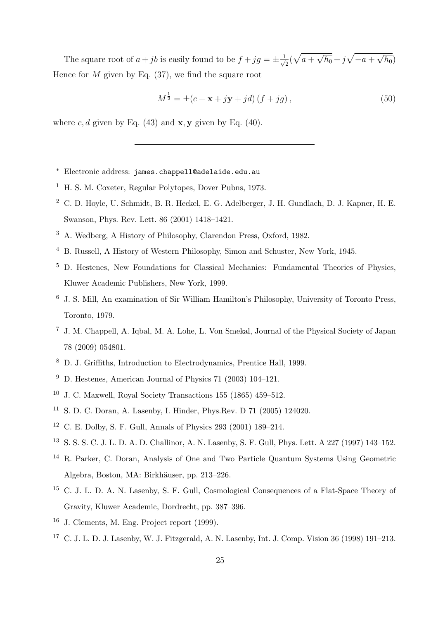The square root of  $a+jb$  is easily found to be  $f+jg=\pm \frac{1}{b}$  $\frac{1}{2}(\sqrt{a+1})$ √  $\overline{h_0}$  + j  $\sqrt{-a}$  + √  $^{\prime}h_0)$ Hence for  $M$  given by Eq. (37), we find the square root

$$
M^{\frac{1}{2}} = \pm (c + \mathbf{x} + j\mathbf{y} + jd)(f + jg),\tag{50}
$$

where c, d given by Eq.  $(43)$  and **x**, **y** given by Eq.  $(40)$ .

- <sup>∗</sup> Electronic address: james.chappell@adelaide.edu.au
- <sup>1</sup> H. S. M. Coxeter, Regular Polytopes, Dover Pubns, 1973.
- <sup>2</sup> C. D. Hoyle, U. Schmidt, B. R. Heckel, E. G. Adelberger, J. H. Gundlach, D. J. Kapner, H. E. Swanson, Phys. Rev. Lett. 86 (2001) 1418–1421.
- <sup>3</sup> A. Wedberg, A History of Philosophy, Clarendon Press, Oxford, 1982.
- <sup>4</sup> B. Russell, A History of Western Philosophy, Simon and Schuster, New York, 1945.
- <sup>5</sup> D. Hestenes, New Foundations for Classical Mechanics: Fundamental Theories of Physics, Kluwer Academic Publishers, New York, 1999.
- <sup>6</sup> J. S. Mill, An examination of Sir William Hamilton's Philosophy, University of Toronto Press, Toronto, 1979.
- <sup>7</sup> J. M. Chappell, A. Iqbal, M. A. Lohe, L. Von Smekal, Journal of the Physical Society of Japan 78 (2009) 054801.
- <sup>8</sup> D. J. Griffiths, Introduction to Electrodynamics, Prentice Hall, 1999.
- <sup>9</sup> D. Hestenes, American Journal of Physics 71 (2003) 104–121.
- <sup>10</sup> J. C. Maxwell, Royal Society Transactions  $155$  (1865) 459–512.
- <sup>11</sup> S. D. C. Doran, A. Lasenby, I. Hinder, Phys.Rev. D 71 (2005) 124020.
- <sup>12</sup> C. E. Dolby, S. F. Gull, Annals of Physics 293 (2001) 189–214.
- <sup>13</sup> S. S. S. C. J. L. D. A. D. Challinor, A. N. Lasenby, S. F. Gull, Phys. Lett. A 227 (1997) 143–152.
- <sup>14</sup> R. Parker, C. Doran, Analysis of One and Two Particle Quantum Systems Using Geometric Algebra, Boston, MA: Birkhäuser, pp. 213–226.
- <sup>15</sup> C. J. L. D. A. N. Lasenby, S. F. Gull, Cosmological Consequences of a Flat-Space Theory of Gravity, Kluwer Academic, Dordrecht, pp. 387–396.
- <sup>16</sup> J. Clements, M. Eng. Project report (1999).
- <sup>17</sup> C. J. L. D. J. Lasenby, W. J. Fitzgerald, A. N. Lasenby, Int. J. Comp. Vision 36 (1998) 191–213.